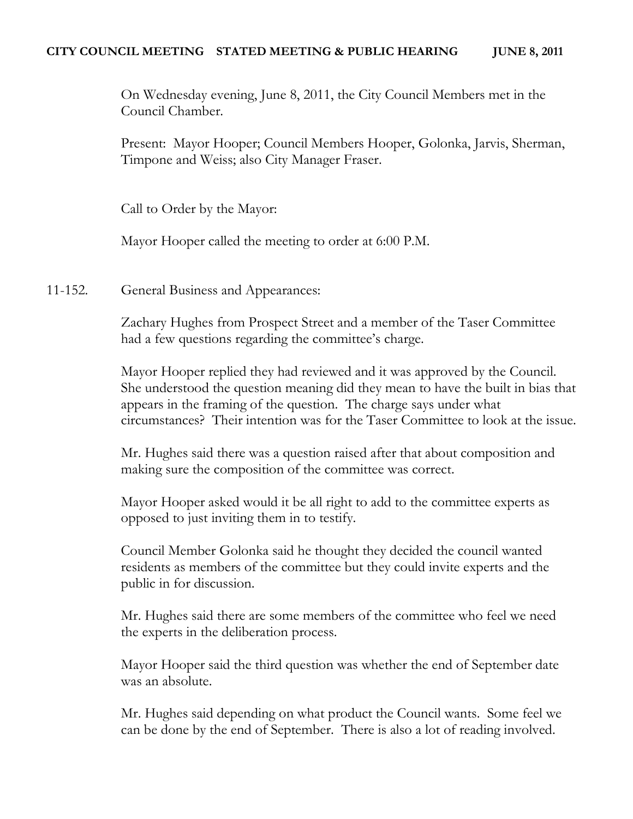On Wednesday evening, June 8, 2011, the City Council Members met in the Council Chamber.

Present: Mayor Hooper; Council Members Hooper, Golonka, Jarvis, Sherman, Timpone and Weiss; also City Manager Fraser.

Call to Order by the Mayor:

Mayor Hooper called the meeting to order at 6:00 P.M.

11-152. General Business and Appearances:

Zachary Hughes from Prospect Street and a member of the Taser Committee had a few questions regarding the committee's charge.

Mayor Hooper replied they had reviewed and it was approved by the Council. She understood the question meaning did they mean to have the built in bias that appears in the framing of the question. The charge says under what circumstances? Their intention was for the Taser Committee to look at the issue.

Mr. Hughes said there was a question raised after that about composition and making sure the composition of the committee was correct.

Mayor Hooper asked would it be all right to add to the committee experts as opposed to just inviting them in to testify.

Council Member Golonka said he thought they decided the council wanted residents as members of the committee but they could invite experts and the public in for discussion.

Mr. Hughes said there are some members of the committee who feel we need the experts in the deliberation process.

Mayor Hooper said the third question was whether the end of September date was an absolute.

Mr. Hughes said depending on what product the Council wants. Some feel we can be done by the end of September. There is also a lot of reading involved.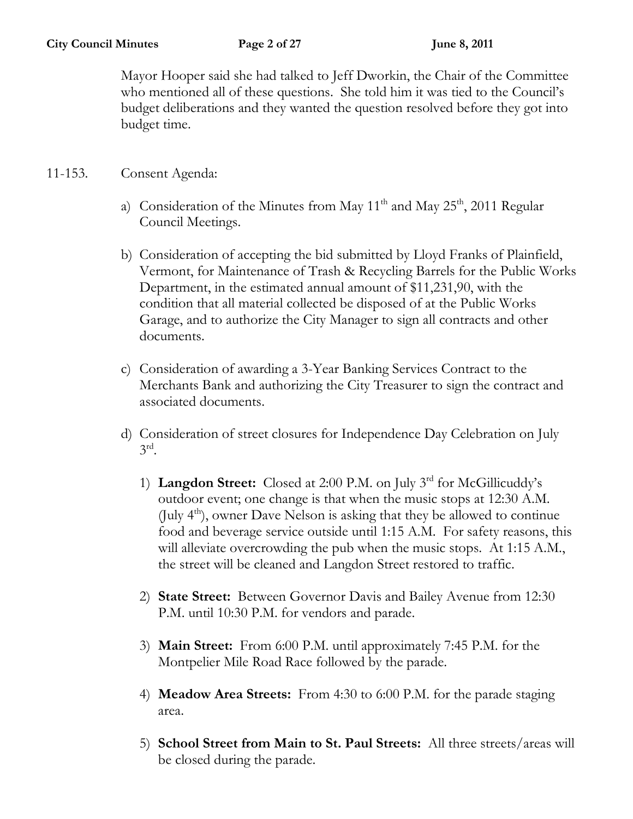Mayor Hooper said she had talked to Jeff Dworkin, the Chair of the Committee who mentioned all of these questions. She told him it was tied to the Council's budget deliberations and they wanted the question resolved before they got into budget time.

#### 11-153. Consent Agenda:

- a) Consideration of the Minutes from May  $11<sup>th</sup>$  and May  $25<sup>th</sup>$ , 2011 Regular Council Meetings.
- b) Consideration of accepting the bid submitted by Lloyd Franks of Plainfield, Vermont, for Maintenance of Trash & Recycling Barrels for the Public Works Department, in the estimated annual amount of \$11,231,90, with the condition that all material collected be disposed of at the Public Works Garage, and to authorize the City Manager to sign all contracts and other documents.
- c) Consideration of awarding a 3-Year Banking Services Contract to the Merchants Bank and authorizing the City Treasurer to sign the contract and associated documents.
- d) Consideration of street closures for Independence Day Celebration on July  $3^{\text{rd}}$ .
	- 1) **Langdon Street:** Closed at 2:00 P.M. on July 3rd for McGillicuddy's outdoor event; one change is that when the music stops at 12:30 A.M. (July  $4<sup>th</sup>$ ), owner Dave Nelson is asking that they be allowed to continue food and beverage service outside until 1:15 A.M. For safety reasons, this will alleviate overcrowding the pub when the music stops. At 1:15 A.M., the street will be cleaned and Langdon Street restored to traffic.
	- 2) **State Street:** Between Governor Davis and Bailey Avenue from 12:30 P.M. until 10:30 P.M. for vendors and parade.
	- 3) **Main Street:** From 6:00 P.M. until approximately 7:45 P.M. for the Montpelier Mile Road Race followed by the parade.
	- 4) **Meadow Area Streets:** From 4:30 to 6:00 P.M. for the parade staging area.
	- 5) **School Street from Main to St. Paul Streets:** All three streets/areas will be closed during the parade.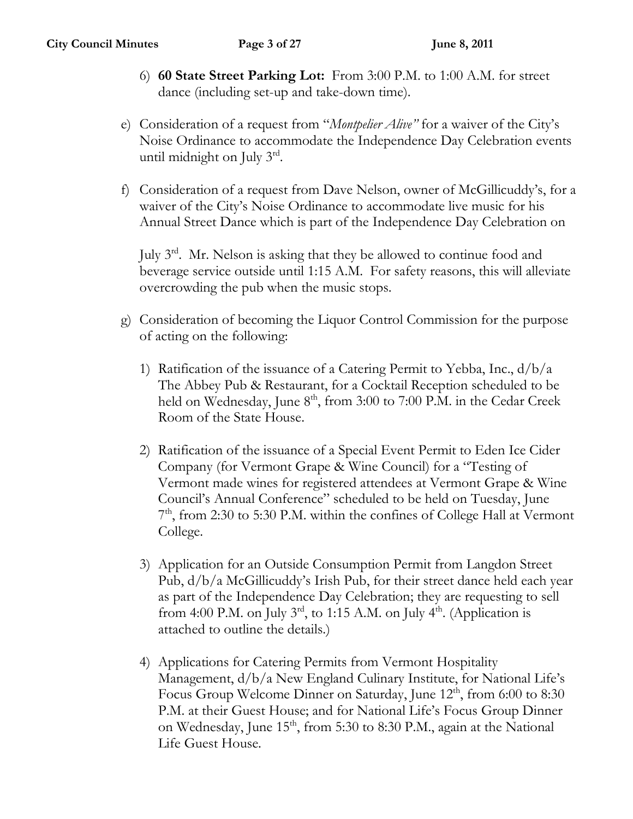- 6) **60 State Street Parking Lot:** From 3:00 P.M. to 1:00 A.M. for street dance (including set-up and take-down time).
- e) Consideration of a request from "*Montpelier Alive"* for a waiver of the City's Noise Ordinance to accommodate the Independence Day Celebration events until midnight on July 3rd.
- f) Consideration of a request from Dave Nelson, owner of McGillicuddy's, for a waiver of the City's Noise Ordinance to accommodate live music for his Annual Street Dance which is part of the Independence Day Celebration on

July 3rd. Mr. Nelson is asking that they be allowed to continue food and beverage service outside until 1:15 A.M. For safety reasons, this will alleviate overcrowding the pub when the music stops.

- g) Consideration of becoming the Liquor Control Commission for the purpose of acting on the following:
	- 1) Ratification of the issuance of a Catering Permit to Yebba, Inc.,  $d/b/a$ The Abbey Pub & Restaurant, for a Cocktail Reception scheduled to be held on Wednesday, June 8<sup>th</sup>, from 3:00 to 7:00 P.M. in the Cedar Creek Room of the State House.
	- 2) Ratification of the issuance of a Special Event Permit to Eden Ice Cider Company (for Vermont Grape & Wine Council) for a "Testing of Vermont made wines for registered attendees at Vermont Grape & Wine Council's Annual Conference" scheduled to be held on Tuesday, June 7<sup>th</sup>, from 2:30 to 5:30 P.M. within the confines of College Hall at Vermont College.
	- 3) Application for an Outside Consumption Permit from Langdon Street Pub, d/b/a McGillicuddy's Irish Pub, for their street dance held each year as part of the Independence Day Celebration; they are requesting to sell from 4:00 P.M. on July  $3<sup>rd</sup>$ , to 1:15 A.M. on July  $4<sup>th</sup>$ . (Application is attached to outline the details.)
	- 4) Applications for Catering Permits from Vermont Hospitality Management, d/b/a New England Culinary Institute, for National Life's Focus Group Welcome Dinner on Saturday, June 12<sup>th</sup>, from 6:00 to 8:30 P.M. at their Guest House; and for National Life's Focus Group Dinner on Wednesday, June 15<sup>th</sup>, from 5:30 to 8:30 P.M., again at the National Life Guest House.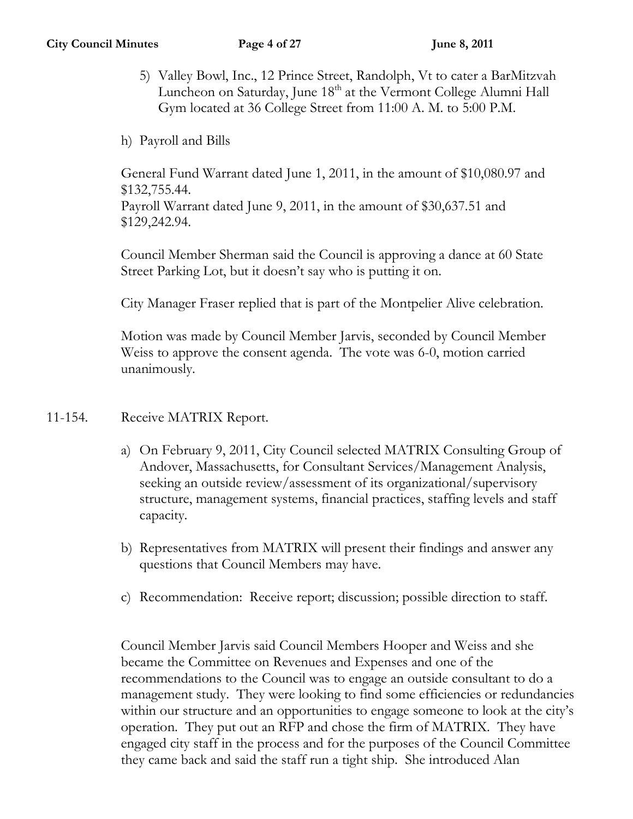- 5) Valley Bowl, Inc., 12 Prince Street, Randolph, Vt to cater a BarMitzvah Luncheon on Saturday, June  $18<sup>th</sup>$  at the Vermont College Alumni Hall Gym located at 36 College Street from 11:00 A. M. to 5:00 P.M.
- h) Payroll and Bills

General Fund Warrant dated June 1, 2011, in the amount of \$10,080.97 and \$132,755.44.

Payroll Warrant dated June 9, 2011, in the amount of \$30,637.51 and \$129,242.94.

Council Member Sherman said the Council is approving a dance at 60 State Street Parking Lot, but it doesn't say who is putting it on.

City Manager Fraser replied that is part of the Montpelier Alive celebration.

Motion was made by Council Member Jarvis, seconded by Council Member Weiss to approve the consent agenda. The vote was 6-0, motion carried unanimously.

## 11-154. Receive MATRIX Report.

- a) On February 9, 2011, City Council selected MATRIX Consulting Group of Andover, Massachusetts, for Consultant Services/Management Analysis, seeking an outside review/assessment of its organizational/supervisory structure, management systems, financial practices, staffing levels and staff capacity.
- b) Representatives from MATRIX will present their findings and answer any questions that Council Members may have.
- c) Recommendation: Receive report; discussion; possible direction to staff.

Council Member Jarvis said Council Members Hooper and Weiss and she became the Committee on Revenues and Expenses and one of the recommendations to the Council was to engage an outside consultant to do a management study. They were looking to find some efficiencies or redundancies within our structure and an opportunities to engage someone to look at the city's operation. They put out an RFP and chose the firm of MATRIX. They have engaged city staff in the process and for the purposes of the Council Committee they came back and said the staff run a tight ship. She introduced Alan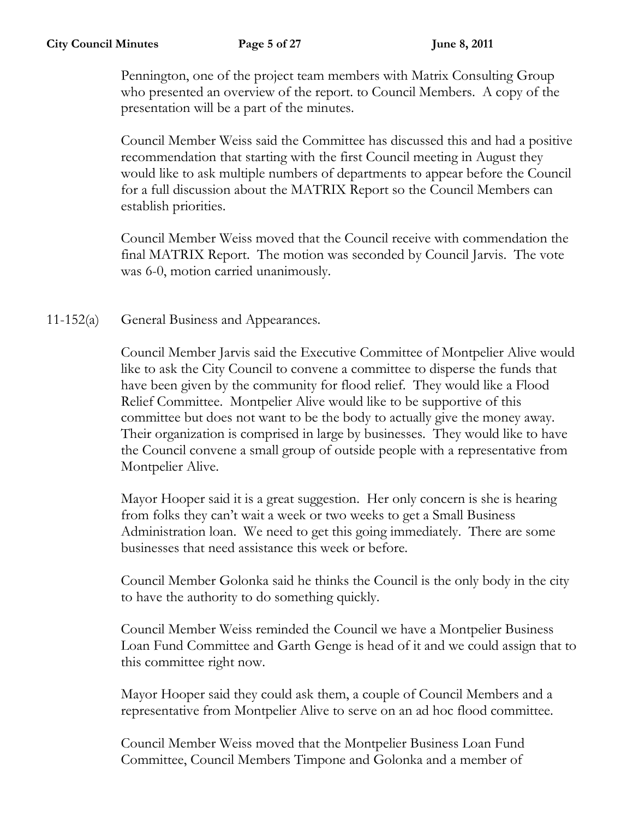Pennington, one of the project team members with Matrix Consulting Group who presented an overview of the report. to Council Members. A copy of the presentation will be a part of the minutes.

Council Member Weiss said the Committee has discussed this and had a positive recommendation that starting with the first Council meeting in August they would like to ask multiple numbers of departments to appear before the Council for a full discussion about the MATRIX Report so the Council Members can establish priorities.

Council Member Weiss moved that the Council receive with commendation the final MATRIX Report. The motion was seconded by Council Jarvis. The vote was 6-0, motion carried unanimously.

11-152(a) General Business and Appearances.

Council Member Jarvis said the Executive Committee of Montpelier Alive would like to ask the City Council to convene a committee to disperse the funds that have been given by the community for flood relief. They would like a Flood Relief Committee. Montpelier Alive would like to be supportive of this committee but does not want to be the body to actually give the money away. Their organization is comprised in large by businesses. They would like to have the Council convene a small group of outside people with a representative from Montpelier Alive.

Mayor Hooper said it is a great suggestion. Her only concern is she is hearing from folks they can't wait a week or two weeks to get a Small Business Administration loan. We need to get this going immediately. There are some businesses that need assistance this week or before.

Council Member Golonka said he thinks the Council is the only body in the city to have the authority to do something quickly.

Council Member Weiss reminded the Council we have a Montpelier Business Loan Fund Committee and Garth Genge is head of it and we could assign that to this committee right now.

Mayor Hooper said they could ask them, a couple of Council Members and a representative from Montpelier Alive to serve on an ad hoc flood committee.

Council Member Weiss moved that the Montpelier Business Loan Fund Committee, Council Members Timpone and Golonka and a member of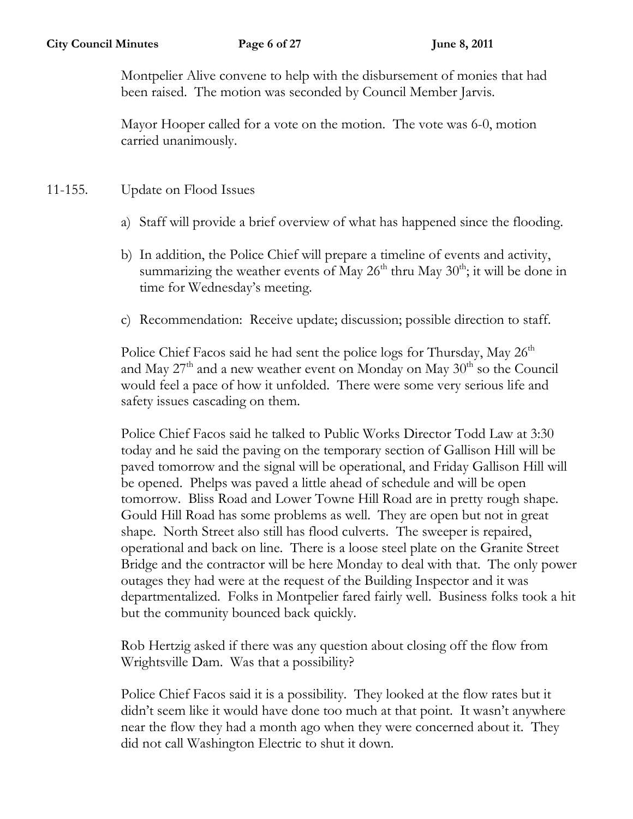Montpelier Alive convene to help with the disbursement of monies that had been raised. The motion was seconded by Council Member Jarvis.

Mayor Hooper called for a vote on the motion. The vote was 6-0, motion carried unanimously.

# 11-155. Update on Flood Issues

- a) Staff will provide a brief overview of what has happened since the flooding.
- b) In addition, the Police Chief will prepare a timeline of events and activity, summarizing the weather events of May  $26<sup>th</sup>$  thru May  $30<sup>th</sup>$ ; it will be done in time for Wednesday's meeting.
- c) Recommendation: Receive update; discussion; possible direction to staff.

Police Chief Facos said he had sent the police logs for Thursday, May  $26<sup>th</sup>$ and May  $27<sup>th</sup>$  and a new weather event on Monday on May  $30<sup>th</sup>$  so the Council would feel a pace of how it unfolded. There were some very serious life and safety issues cascading on them.

Police Chief Facos said he talked to Public Works Director Todd Law at 3:30 today and he said the paving on the temporary section of Gallison Hill will be paved tomorrow and the signal will be operational, and Friday Gallison Hill will be opened. Phelps was paved a little ahead of schedule and will be open tomorrow. Bliss Road and Lower Towne Hill Road are in pretty rough shape. Gould Hill Road has some problems as well. They are open but not in great shape. North Street also still has flood culverts. The sweeper is repaired, operational and back on line. There is a loose steel plate on the Granite Street Bridge and the contractor will be here Monday to deal with that. The only power outages they had were at the request of the Building Inspector and it was departmentalized. Folks in Montpelier fared fairly well. Business folks took a hit but the community bounced back quickly.

Rob Hertzig asked if there was any question about closing off the flow from Wrightsville Dam. Was that a possibility?

Police Chief Facos said it is a possibility. They looked at the flow rates but it didn't seem like it would have done too much at that point. It wasn't anywhere near the flow they had a month ago when they were concerned about it. They did not call Washington Electric to shut it down.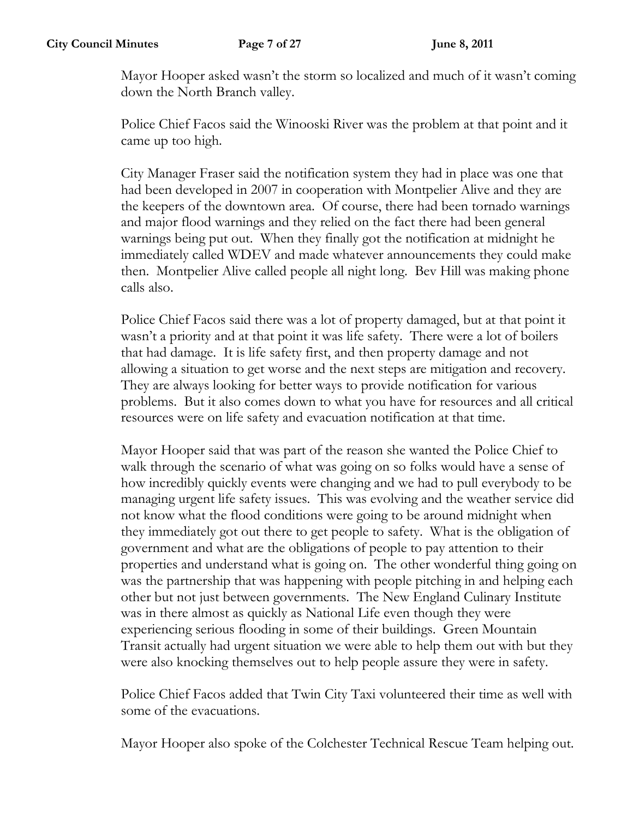Mayor Hooper asked wasn't the storm so localized and much of it wasn't coming down the North Branch valley.

Police Chief Facos said the Winooski River was the problem at that point and it came up too high.

City Manager Fraser said the notification system they had in place was one that had been developed in 2007 in cooperation with Montpelier Alive and they are the keepers of the downtown area. Of course, there had been tornado warnings and major flood warnings and they relied on the fact there had been general warnings being put out. When they finally got the notification at midnight he immediately called WDEV and made whatever announcements they could make then. Montpelier Alive called people all night long. Bev Hill was making phone calls also.

Police Chief Facos said there was a lot of property damaged, but at that point it wasn't a priority and at that point it was life safety. There were a lot of boilers that had damage. It is life safety first, and then property damage and not allowing a situation to get worse and the next steps are mitigation and recovery. They are always looking for better ways to provide notification for various problems. But it also comes down to what you have for resources and all critical resources were on life safety and evacuation notification at that time.

Mayor Hooper said that was part of the reason she wanted the Police Chief to walk through the scenario of what was going on so folks would have a sense of how incredibly quickly events were changing and we had to pull everybody to be managing urgent life safety issues. This was evolving and the weather service did not know what the flood conditions were going to be around midnight when they immediately got out there to get people to safety. What is the obligation of government and what are the obligations of people to pay attention to their properties and understand what is going on. The other wonderful thing going on was the partnership that was happening with people pitching in and helping each other but not just between governments. The New England Culinary Institute was in there almost as quickly as National Life even though they were experiencing serious flooding in some of their buildings. Green Mountain Transit actually had urgent situation we were able to help them out with but they were also knocking themselves out to help people assure they were in safety.

Police Chief Facos added that Twin City Taxi volunteered their time as well with some of the evacuations.

Mayor Hooper also spoke of the Colchester Technical Rescue Team helping out.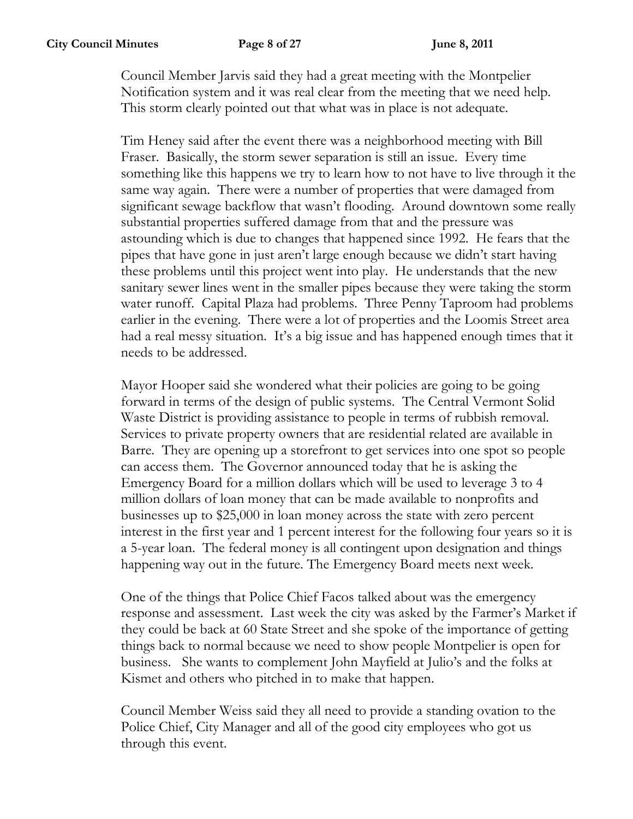Council Member Jarvis said they had a great meeting with the Montpelier Notification system and it was real clear from the meeting that we need help. This storm clearly pointed out that what was in place is not adequate.

Tim Heney said after the event there was a neighborhood meeting with Bill Fraser. Basically, the storm sewer separation is still an issue. Every time something like this happens we try to learn how to not have to live through it the same way again. There were a number of properties that were damaged from significant sewage backflow that wasn't flooding. Around downtown some really substantial properties suffered damage from that and the pressure was astounding which is due to changes that happened since 1992. He fears that the pipes that have gone in just aren't large enough because we didn't start having these problems until this project went into play. He understands that the new sanitary sewer lines went in the smaller pipes because they were taking the storm water runoff. Capital Plaza had problems. Three Penny Taproom had problems earlier in the evening. There were a lot of properties and the Loomis Street area had a real messy situation. It's a big issue and has happened enough times that it needs to be addressed.

Mayor Hooper said she wondered what their policies are going to be going forward in terms of the design of public systems. The Central Vermont Solid Waste District is providing assistance to people in terms of rubbish removal. Services to private property owners that are residential related are available in Barre. They are opening up a storefront to get services into one spot so people can access them. The Governor announced today that he is asking the Emergency Board for a million dollars which will be used to leverage 3 to 4 million dollars of loan money that can be made available to nonprofits and businesses up to \$25,000 in loan money across the state with zero percent interest in the first year and 1 percent interest for the following four years so it is a 5-year loan. The federal money is all contingent upon designation and things happening way out in the future. The Emergency Board meets next week.

One of the things that Police Chief Facos talked about was the emergency response and assessment. Last week the city was asked by the Farmer's Market if they could be back at 60 State Street and she spoke of the importance of getting things back to normal because we need to show people Montpelier is open for business. She wants to complement John Mayfield at Julio's and the folks at Kismet and others who pitched in to make that happen.

Council Member Weiss said they all need to provide a standing ovation to the Police Chief, City Manager and all of the good city employees who got us through this event.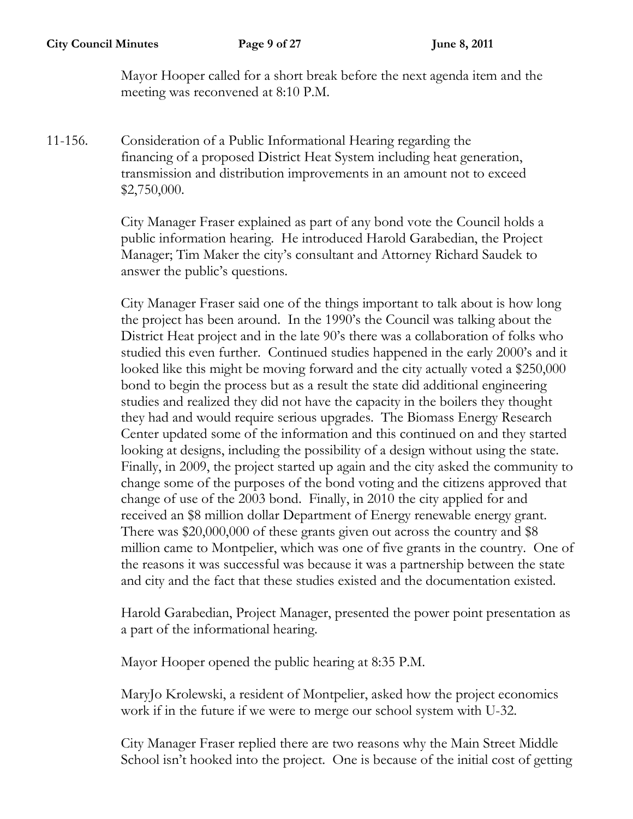Mayor Hooper called for a short break before the next agenda item and the meeting was reconvened at 8:10 P.M.

11-156. Consideration of a Public Informational Hearing regarding the financing of a proposed District Heat System including heat generation, transmission and distribution improvements in an amount not to exceed \$2,750,000.

> City Manager Fraser explained as part of any bond vote the Council holds a public information hearing. He introduced Harold Garabedian, the Project Manager; Tim Maker the city's consultant and Attorney Richard Saudek to answer the public's questions.

City Manager Fraser said one of the things important to talk about is how long the project has been around. In the 1990's the Council was talking about the District Heat project and in the late 90's there was a collaboration of folks who studied this even further. Continued studies happened in the early 2000's and it looked like this might be moving forward and the city actually voted a \$250,000 bond to begin the process but as a result the state did additional engineering studies and realized they did not have the capacity in the boilers they thought they had and would require serious upgrades. The Biomass Energy Research Center updated some of the information and this continued on and they started looking at designs, including the possibility of a design without using the state. Finally, in 2009, the project started up again and the city asked the community to change some of the purposes of the bond voting and the citizens approved that change of use of the 2003 bond. Finally, in 2010 the city applied for and received an \$8 million dollar Department of Energy renewable energy grant. There was \$20,000,000 of these grants given out across the country and \$8 million came to Montpelier, which was one of five grants in the country. One of the reasons it was successful was because it was a partnership between the state and city and the fact that these studies existed and the documentation existed.

Harold Garabedian, Project Manager, presented the power point presentation as a part of the informational hearing.

Mayor Hooper opened the public hearing at 8:35 P.M.

MaryJo Krolewski, a resident of Montpelier, asked how the project economics work if in the future if we were to merge our school system with U-32.

City Manager Fraser replied there are two reasons why the Main Street Middle School isn't hooked into the project. One is because of the initial cost of getting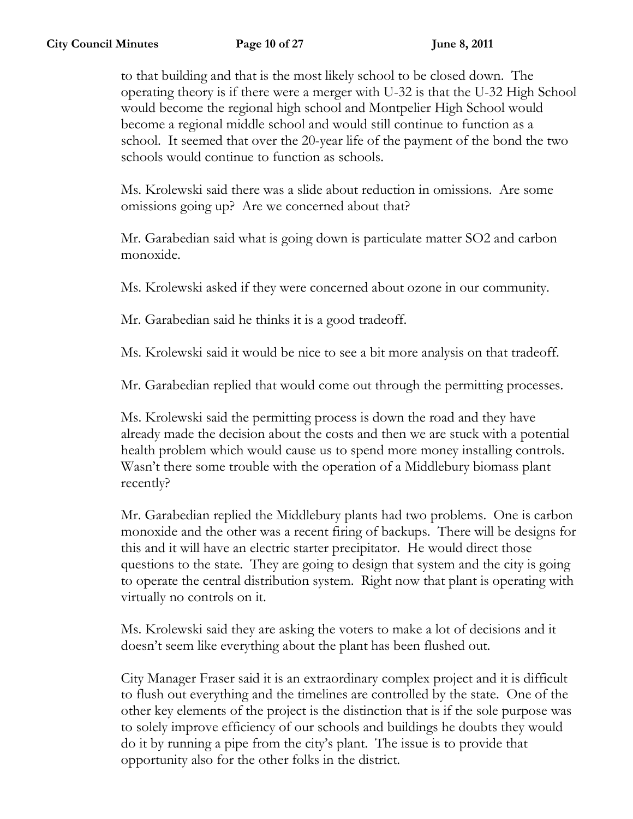to that building and that is the most likely school to be closed down. The operating theory is if there were a merger with U-32 is that the U-32 High School would become the regional high school and Montpelier High School would become a regional middle school and would still continue to function as a school. It seemed that over the 20-year life of the payment of the bond the two schools would continue to function as schools.

Ms. Krolewski said there was a slide about reduction in omissions. Are some omissions going up? Are we concerned about that?

Mr. Garabedian said what is going down is particulate matter SO2 and carbon monoxide.

Ms. Krolewski asked if they were concerned about ozone in our community.

Mr. Garabedian said he thinks it is a good tradeoff.

Ms. Krolewski said it would be nice to see a bit more analysis on that tradeoff.

Mr. Garabedian replied that would come out through the permitting processes.

Ms. Krolewski said the permitting process is down the road and they have already made the decision about the costs and then we are stuck with a potential health problem which would cause us to spend more money installing controls. Wasn't there some trouble with the operation of a Middlebury biomass plant recently?

Mr. Garabedian replied the Middlebury plants had two problems. One is carbon monoxide and the other was a recent firing of backups. There will be designs for this and it will have an electric starter precipitator. He would direct those questions to the state. They are going to design that system and the city is going to operate the central distribution system. Right now that plant is operating with virtually no controls on it.

Ms. Krolewski said they are asking the voters to make a lot of decisions and it doesn't seem like everything about the plant has been flushed out.

City Manager Fraser said it is an extraordinary complex project and it is difficult to flush out everything and the timelines are controlled by the state. One of the other key elements of the project is the distinction that is if the sole purpose was to solely improve efficiency of our schools and buildings he doubts they would do it by running a pipe from the city's plant. The issue is to provide that opportunity also for the other folks in the district.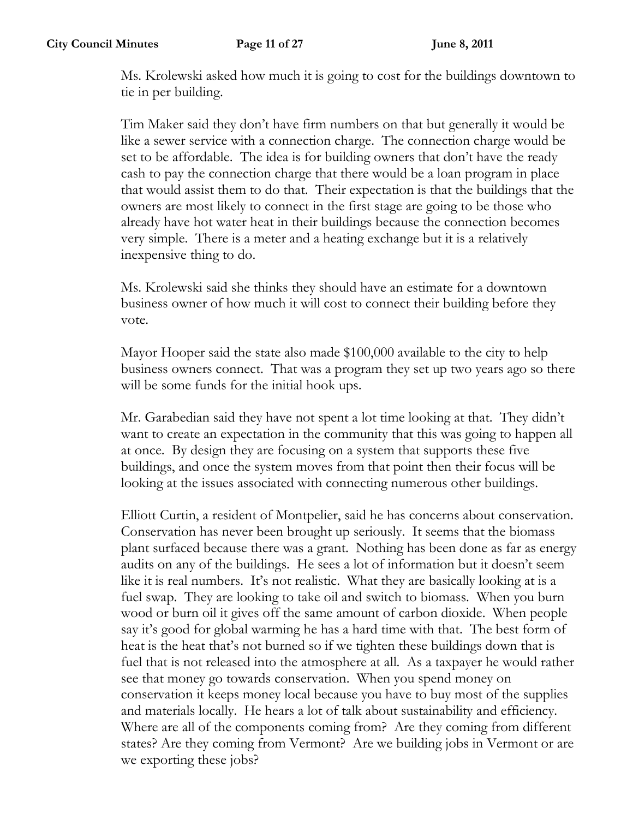Ms. Krolewski asked how much it is going to cost for the buildings downtown to tie in per building.

Tim Maker said they don't have firm numbers on that but generally it would be like a sewer service with a connection charge. The connection charge would be set to be affordable. The idea is for building owners that don't have the ready cash to pay the connection charge that there would be a loan program in place that would assist them to do that. Their expectation is that the buildings that the owners are most likely to connect in the first stage are going to be those who already have hot water heat in their buildings because the connection becomes very simple. There is a meter and a heating exchange but it is a relatively inexpensive thing to do.

Ms. Krolewski said she thinks they should have an estimate for a downtown business owner of how much it will cost to connect their building before they vote.

Mayor Hooper said the state also made \$100,000 available to the city to help business owners connect. That was a program they set up two years ago so there will be some funds for the initial hook ups.

Mr. Garabedian said they have not spent a lot time looking at that. They didn't want to create an expectation in the community that this was going to happen all at once. By design they are focusing on a system that supports these five buildings, and once the system moves from that point then their focus will be looking at the issues associated with connecting numerous other buildings.

Elliott Curtin, a resident of Montpelier, said he has concerns about conservation. Conservation has never been brought up seriously. It seems that the biomass plant surfaced because there was a grant. Nothing has been done as far as energy audits on any of the buildings. He sees a lot of information but it doesn't seem like it is real numbers. It's not realistic. What they are basically looking at is a fuel swap. They are looking to take oil and switch to biomass. When you burn wood or burn oil it gives off the same amount of carbon dioxide. When people say it's good for global warming he has a hard time with that. The best form of heat is the heat that's not burned so if we tighten these buildings down that is fuel that is not released into the atmosphere at all. As a taxpayer he would rather see that money go towards conservation. When you spend money on conservation it keeps money local because you have to buy most of the supplies and materials locally. He hears a lot of talk about sustainability and efficiency. Where are all of the components coming from? Are they coming from different states? Are they coming from Vermont? Are we building jobs in Vermont or are we exporting these jobs?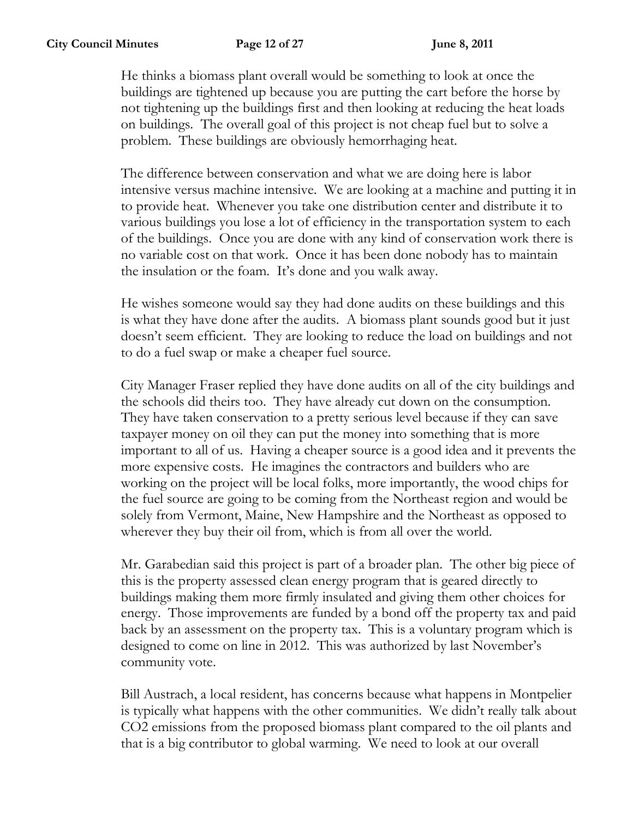He thinks a biomass plant overall would be something to look at once the buildings are tightened up because you are putting the cart before the horse by not tightening up the buildings first and then looking at reducing the heat loads on buildings. The overall goal of this project is not cheap fuel but to solve a problem. These buildings are obviously hemorrhaging heat.

The difference between conservation and what we are doing here is labor intensive versus machine intensive. We are looking at a machine and putting it in to provide heat. Whenever you take one distribution center and distribute it to various buildings you lose a lot of efficiency in the transportation system to each of the buildings. Once you are done with any kind of conservation work there is no variable cost on that work. Once it has been done nobody has to maintain the insulation or the foam. It's done and you walk away.

He wishes someone would say they had done audits on these buildings and this is what they have done after the audits. A biomass plant sounds good but it just doesn't seem efficient. They are looking to reduce the load on buildings and not to do a fuel swap or make a cheaper fuel source.

City Manager Fraser replied they have done audits on all of the city buildings and the schools did theirs too. They have already cut down on the consumption. They have taken conservation to a pretty serious level because if they can save taxpayer money on oil they can put the money into something that is more important to all of us. Having a cheaper source is a good idea and it prevents the more expensive costs. He imagines the contractors and builders who are working on the project will be local folks, more importantly, the wood chips for the fuel source are going to be coming from the Northeast region and would be solely from Vermont, Maine, New Hampshire and the Northeast as opposed to wherever they buy their oil from, which is from all over the world.

Mr. Garabedian said this project is part of a broader plan. The other big piece of this is the property assessed clean energy program that is geared directly to buildings making them more firmly insulated and giving them other choices for energy. Those improvements are funded by a bond off the property tax and paid back by an assessment on the property tax. This is a voluntary program which is designed to come on line in 2012. This was authorized by last November's community vote.

Bill Austrach, a local resident, has concerns because what happens in Montpelier is typically what happens with the other communities. We didn't really talk about CO2 emissions from the proposed biomass plant compared to the oil plants and that is a big contributor to global warming. We need to look at our overall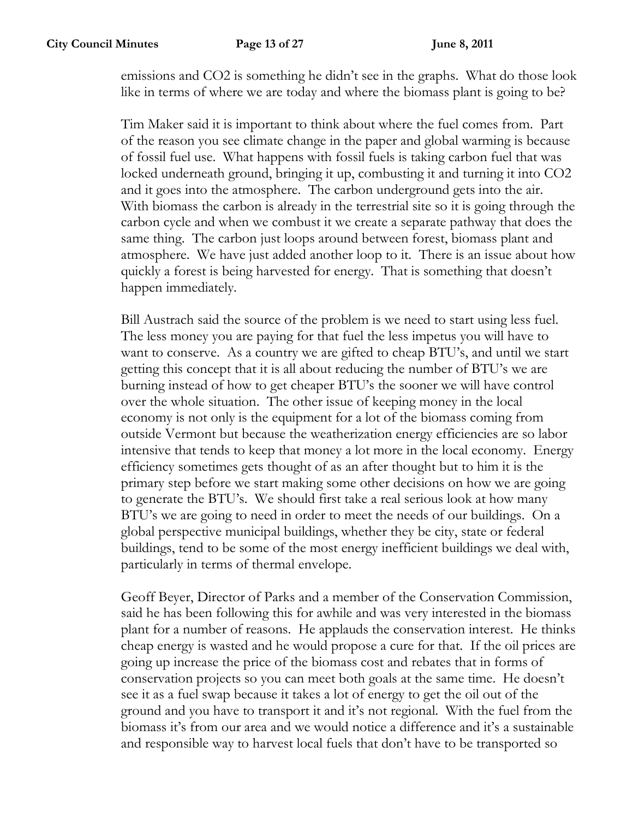emissions and CO2 is something he didn't see in the graphs. What do those look like in terms of where we are today and where the biomass plant is going to be?

Tim Maker said it is important to think about where the fuel comes from. Part of the reason you see climate change in the paper and global warming is because of fossil fuel use. What happens with fossil fuels is taking carbon fuel that was locked underneath ground, bringing it up, combusting it and turning it into CO2 and it goes into the atmosphere. The carbon underground gets into the air. With biomass the carbon is already in the terrestrial site so it is going through the carbon cycle and when we combust it we create a separate pathway that does the same thing. The carbon just loops around between forest, biomass plant and atmosphere. We have just added another loop to it. There is an issue about how quickly a forest is being harvested for energy. That is something that doesn't happen immediately.

Bill Austrach said the source of the problem is we need to start using less fuel. The less money you are paying for that fuel the less impetus you will have to want to conserve. As a country we are gifted to cheap BTU's, and until we start getting this concept that it is all about reducing the number of BTU's we are burning instead of how to get cheaper BTU's the sooner we will have control over the whole situation. The other issue of keeping money in the local economy is not only is the equipment for a lot of the biomass coming from outside Vermont but because the weatherization energy efficiencies are so labor intensive that tends to keep that money a lot more in the local economy. Energy efficiency sometimes gets thought of as an after thought but to him it is the primary step before we start making some other decisions on how we are going to generate the BTU's. We should first take a real serious look at how many BTU's we are going to need in order to meet the needs of our buildings. On a global perspective municipal buildings, whether they be city, state or federal buildings, tend to be some of the most energy inefficient buildings we deal with, particularly in terms of thermal envelope.

Geoff Beyer, Director of Parks and a member of the Conservation Commission, said he has been following this for awhile and was very interested in the biomass plant for a number of reasons. He applauds the conservation interest. He thinks cheap energy is wasted and he would propose a cure for that. If the oil prices are going up increase the price of the biomass cost and rebates that in forms of conservation projects so you can meet both goals at the same time. He doesn't see it as a fuel swap because it takes a lot of energy to get the oil out of the ground and you have to transport it and it's not regional. With the fuel from the biomass it's from our area and we would notice a difference and it's a sustainable and responsible way to harvest local fuels that don't have to be transported so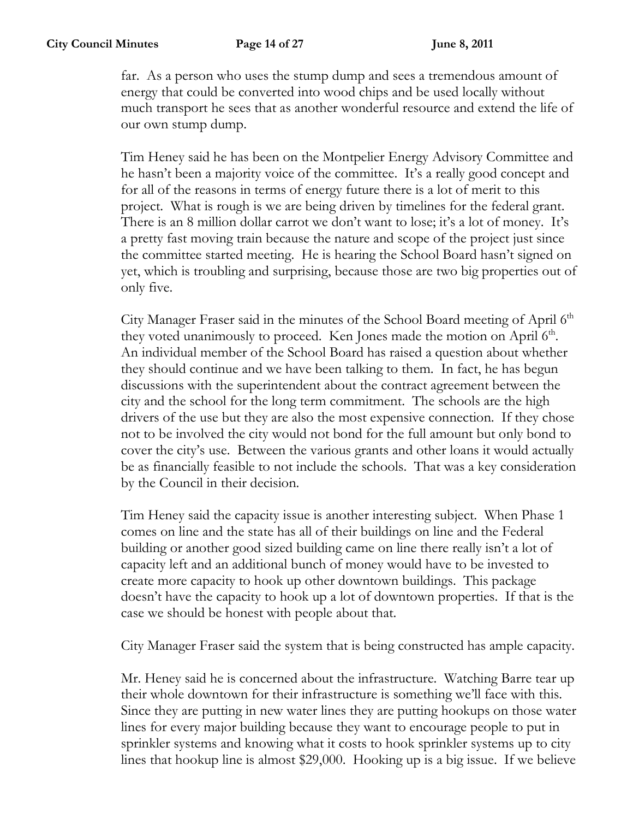far. As a person who uses the stump dump and sees a tremendous amount of energy that could be converted into wood chips and be used locally without much transport he sees that as another wonderful resource and extend the life of our own stump dump.

Tim Heney said he has been on the Montpelier Energy Advisory Committee and he hasn't been a majority voice of the committee. It's a really good concept and for all of the reasons in terms of energy future there is a lot of merit to this project. What is rough is we are being driven by timelines for the federal grant. There is an 8 million dollar carrot we don't want to lose; it's a lot of money. It's a pretty fast moving train because the nature and scope of the project just since the committee started meeting. He is hearing the School Board hasn't signed on yet, which is troubling and surprising, because those are two big properties out of only five.

City Manager Fraser said in the minutes of the School Board meeting of April 6<sup>th</sup> they voted unanimously to proceed. Ken Jones made the motion on April 6<sup>th</sup>. An individual member of the School Board has raised a question about whether they should continue and we have been talking to them. In fact, he has begun discussions with the superintendent about the contract agreement between the city and the school for the long term commitment. The schools are the high drivers of the use but they are also the most expensive connection. If they chose not to be involved the city would not bond for the full amount but only bond to cover the city's use. Between the various grants and other loans it would actually be as financially feasible to not include the schools. That was a key consideration by the Council in their decision.

Tim Heney said the capacity issue is another interesting subject. When Phase 1 comes on line and the state has all of their buildings on line and the Federal building or another good sized building came on line there really isn't a lot of capacity left and an additional bunch of money would have to be invested to create more capacity to hook up other downtown buildings. This package doesn't have the capacity to hook up a lot of downtown properties. If that is the case we should be honest with people about that.

City Manager Fraser said the system that is being constructed has ample capacity.

Mr. Heney said he is concerned about the infrastructure. Watching Barre tear up their whole downtown for their infrastructure is something we'll face with this. Since they are putting in new water lines they are putting hookups on those water lines for every major building because they want to encourage people to put in sprinkler systems and knowing what it costs to hook sprinkler systems up to city lines that hookup line is almost \$29,000. Hooking up is a big issue. If we believe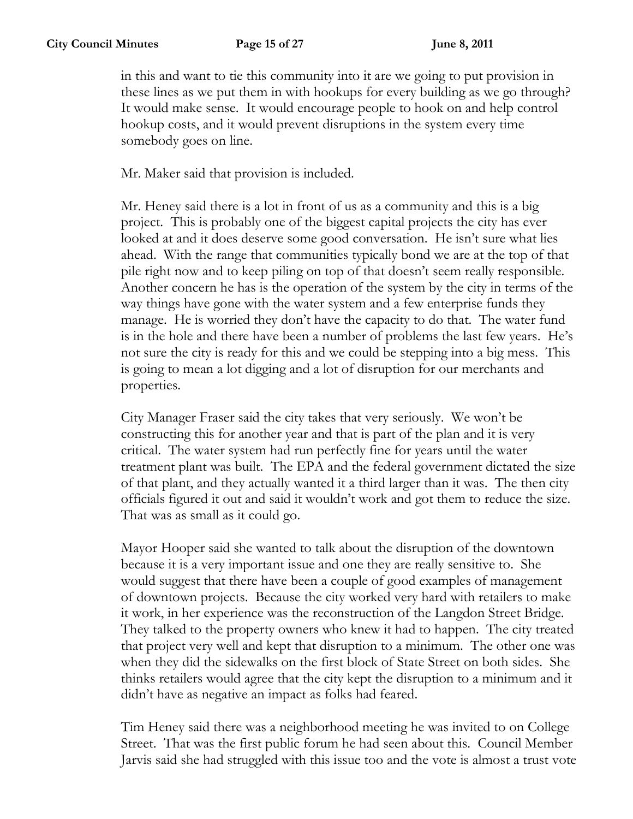in this and want to tie this community into it are we going to put provision in these lines as we put them in with hookups for every building as we go through? It would make sense. It would encourage people to hook on and help control hookup costs, and it would prevent disruptions in the system every time somebody goes on line.

Mr. Maker said that provision is included.

Mr. Heney said there is a lot in front of us as a community and this is a big project. This is probably one of the biggest capital projects the city has ever looked at and it does deserve some good conversation. He isn't sure what lies ahead. With the range that communities typically bond we are at the top of that pile right now and to keep piling on top of that doesn't seem really responsible. Another concern he has is the operation of the system by the city in terms of the way things have gone with the water system and a few enterprise funds they manage. He is worried they don't have the capacity to do that. The water fund is in the hole and there have been a number of problems the last few years. He's not sure the city is ready for this and we could be stepping into a big mess. This is going to mean a lot digging and a lot of disruption for our merchants and properties.

City Manager Fraser said the city takes that very seriously. We won't be constructing this for another year and that is part of the plan and it is very critical. The water system had run perfectly fine for years until the water treatment plant was built. The EPA and the federal government dictated the size of that plant, and they actually wanted it a third larger than it was. The then city officials figured it out and said it wouldn't work and got them to reduce the size. That was as small as it could go.

Mayor Hooper said she wanted to talk about the disruption of the downtown because it is a very important issue and one they are really sensitive to. She would suggest that there have been a couple of good examples of management of downtown projects. Because the city worked very hard with retailers to make it work, in her experience was the reconstruction of the Langdon Street Bridge. They talked to the property owners who knew it had to happen. The city treated that project very well and kept that disruption to a minimum. The other one was when they did the sidewalks on the first block of State Street on both sides. She thinks retailers would agree that the city kept the disruption to a minimum and it didn't have as negative an impact as folks had feared.

Tim Heney said there was a neighborhood meeting he was invited to on College Street. That was the first public forum he had seen about this. Council Member Jarvis said she had struggled with this issue too and the vote is almost a trust vote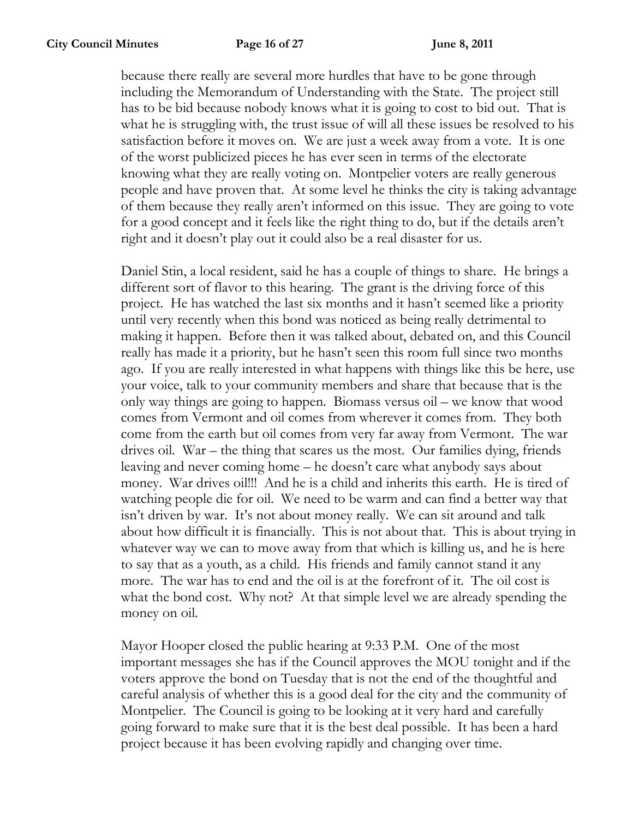because there really are several more hurdles that have to be gone through including the Memorandum of Understanding with the State. The project still has to be bid because nobody knows what it is going to cost to bid out. That is what he is struggling with, the trust issue of will all these issues be resolved to his satisfaction before it moves on. We are just a week away from a vote. It is one of the worst publicized pieces he has ever seen in terms of the electorate knowing what they are really voting on. Montpelier voters are really generous people and have proven that. At some level he thinks the city is taking advantage of them because they really aren't informed on this issue. They are going to vote for a good concept and it feels like the right thing to do, but if the details aren't right and it doesn't play out it could also be a real disaster for us.

Daniel Stin, a local resident, said he has a couple of things to share. He brings a different sort of flavor to this hearing. The grant is the driving force of this project. He has watched the last six months and it hasn't seemed like a priority until very recently when this bond was noticed as being really detrimental to making it happen. Before then it was talked about, debated on, and this Council really has made it a priority, but he hasn't seen this room full since two months ago. If you are really interested in what happens with things like this be here, use your voice, talk to your community members and share that because that is the only way things are going to happen. Biomass versus oil – we know that wood comes from Vermont and oil comes from wherever it comes from. They both come from the earth but oil comes from very far away from Vermont. The war drives oil. War – the thing that scares us the most. Our families dying, friends leaving and never coming home – he doesn't care what anybody says about money. War drives oil!!! And he is a child and inherits this earth. He is tired of watching people die for oil. We need to be warm and can find a better way that isn't driven by war. It's not about money really. We can sit around and talk about how difficult it is financially. This is not about that. This is about trying in whatever way we can to move away from that which is killing us, and he is here to say that as a youth, as a child. His friends and family cannot stand it any more. The war has to end and the oil is at the forefront of it. The oil cost is what the bond cost. Why not? At that simple level we are already spending the money on oil.

Mayor Hooper closed the public hearing at 9:33 P.M. One of the most important messages she has if the Council approves the MOU tonight and if the voters approve the bond on Tuesday that is not the end of the thoughtful and careful analysis of whether this is a good deal for the city and the community of Montpelier. The Council is going to be looking at it very hard and carefully going forward to make sure that it is the best deal possible. It has been a hard project because it has been evolving rapidly and changing over time.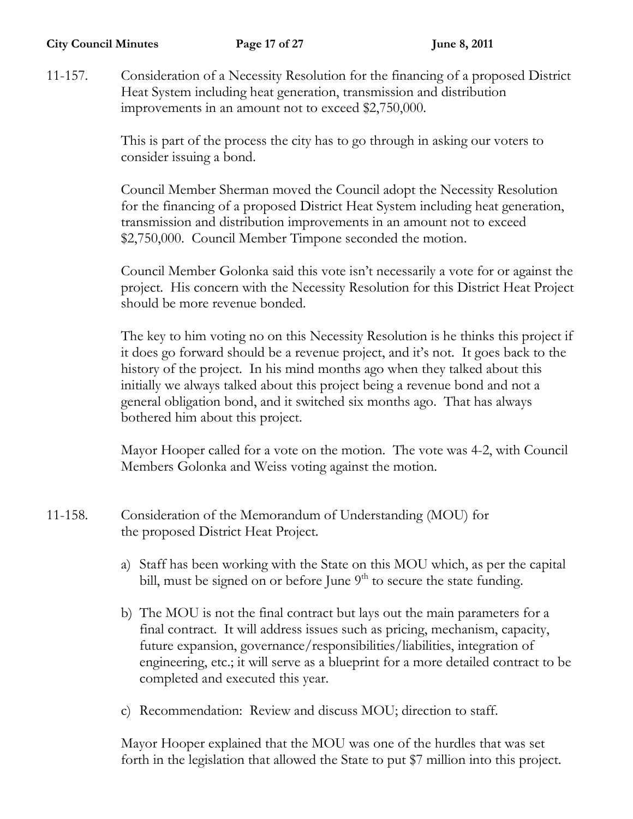11-157. Consideration of a Necessity Resolution for the financing of a proposed District Heat System including heat generation, transmission and distribution improvements in an amount not to exceed \$2,750,000.

> This is part of the process the city has to go through in asking our voters to consider issuing a bond.

Council Member Sherman moved the Council adopt the Necessity Resolution for the financing of a proposed District Heat System including heat generation, transmission and distribution improvements in an amount not to exceed \$2,750,000. Council Member Timpone seconded the motion.

Council Member Golonka said this vote isn't necessarily a vote for or against the project. His concern with the Necessity Resolution for this District Heat Project should be more revenue bonded.

The key to him voting no on this Necessity Resolution is he thinks this project if it does go forward should be a revenue project, and it's not. It goes back to the history of the project. In his mind months ago when they talked about this initially we always talked about this project being a revenue bond and not a general obligation bond, and it switched six months ago. That has always bothered him about this project.

Mayor Hooper called for a vote on the motion. The vote was 4-2, with Council Members Golonka and Weiss voting against the motion.

- 11-158. Consideration of the Memorandum of Understanding (MOU) for the proposed District Heat Project.
	- a) Staff has been working with the State on this MOU which, as per the capital bill, must be signed on or before June 9<sup>th</sup> to secure the state funding.
	- b) The MOU is not the final contract but lays out the main parameters for a final contract. It will address issues such as pricing, mechanism, capacity, future expansion, governance/responsibilities/liabilities, integration of engineering, etc.; it will serve as a blueprint for a more detailed contract to be completed and executed this year.
	- c) Recommendation: Review and discuss MOU; direction to staff.

Mayor Hooper explained that the MOU was one of the hurdles that was set forth in the legislation that allowed the State to put \$7 million into this project.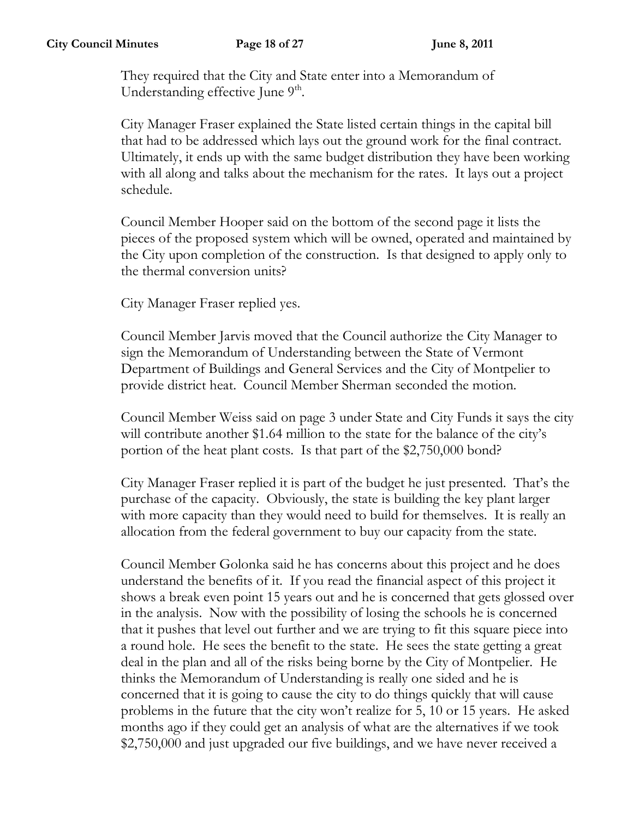They required that the City and State enter into a Memorandum of Understanding effective June  $9<sup>th</sup>$ .

City Manager Fraser explained the State listed certain things in the capital bill that had to be addressed which lays out the ground work for the final contract. Ultimately, it ends up with the same budget distribution they have been working with all along and talks about the mechanism for the rates. It lays out a project schedule.

Council Member Hooper said on the bottom of the second page it lists the pieces of the proposed system which will be owned, operated and maintained by the City upon completion of the construction. Is that designed to apply only to the thermal conversion units?

City Manager Fraser replied yes.

Council Member Jarvis moved that the Council authorize the City Manager to sign the Memorandum of Understanding between the State of Vermont Department of Buildings and General Services and the City of Montpelier to provide district heat. Council Member Sherman seconded the motion.

Council Member Weiss said on page 3 under State and City Funds it says the city will contribute another \$1.64 million to the state for the balance of the city's portion of the heat plant costs. Is that part of the \$2,750,000 bond?

City Manager Fraser replied it is part of the budget he just presented. That's the purchase of the capacity. Obviously, the state is building the key plant larger with more capacity than they would need to build for themselves. It is really an allocation from the federal government to buy our capacity from the state.

Council Member Golonka said he has concerns about this project and he does understand the benefits of it. If you read the financial aspect of this project it shows a break even point 15 years out and he is concerned that gets glossed over in the analysis. Now with the possibility of losing the schools he is concerned that it pushes that level out further and we are trying to fit this square piece into a round hole. He sees the benefit to the state. He sees the state getting a great deal in the plan and all of the risks being borne by the City of Montpelier. He thinks the Memorandum of Understanding is really one sided and he is concerned that it is going to cause the city to do things quickly that will cause problems in the future that the city won't realize for 5, 10 or 15 years. He asked months ago if they could get an analysis of what are the alternatives if we took \$2,750,000 and just upgraded our five buildings, and we have never received a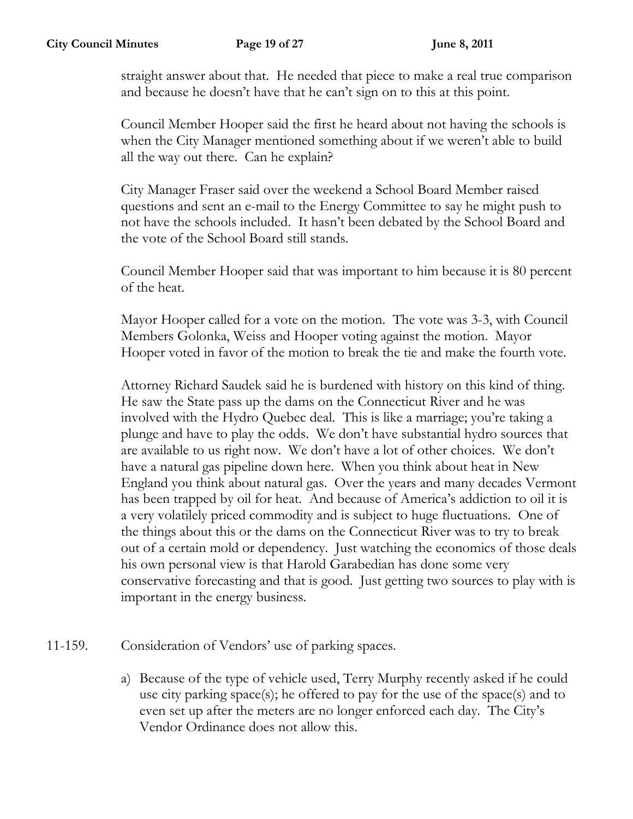straight answer about that. He needed that piece to make a real true comparison and because he doesn't have that he can't sign on to this at this point.

Council Member Hooper said the first he heard about not having the schools is when the City Manager mentioned something about if we weren't able to build all the way out there. Can he explain?

City Manager Fraser said over the weekend a School Board Member raised questions and sent an e-mail to the Energy Committee to say he might push to not have the schools included. It hasn't been debated by the School Board and the vote of the School Board still stands.

Council Member Hooper said that was important to him because it is 80 percent of the heat.

Mayor Hooper called for a vote on the motion. The vote was 3-3, with Council Members Golonka, Weiss and Hooper voting against the motion. Mayor Hooper voted in favor of the motion to break the tie and make the fourth vote.

Attorney Richard Saudek said he is burdened with history on this kind of thing. He saw the State pass up the dams on the Connecticut River and he was involved with the Hydro Quebec deal. This is like a marriage; you're taking a plunge and have to play the odds. We don't have substantial hydro sources that are available to us right now. We don't have a lot of other choices. We don't have a natural gas pipeline down here. When you think about heat in New England you think about natural gas. Over the years and many decades Vermont has been trapped by oil for heat. And because of America's addiction to oil it is a very volatilely priced commodity and is subject to huge fluctuations. One of the things about this or the dams on the Connecticut River was to try to break out of a certain mold or dependency. Just watching the economics of those deals his own personal view is that Harold Garabedian has done some very conservative forecasting and that is good. Just getting two sources to play with is important in the energy business.

- 11-159. Consideration of Vendors' use of parking spaces.
	- a) Because of the type of vehicle used, Terry Murphy recently asked if he could use city parking space(s); he offered to pay for the use of the space(s) and to even set up after the meters are no longer enforced each day. The City's Vendor Ordinance does not allow this.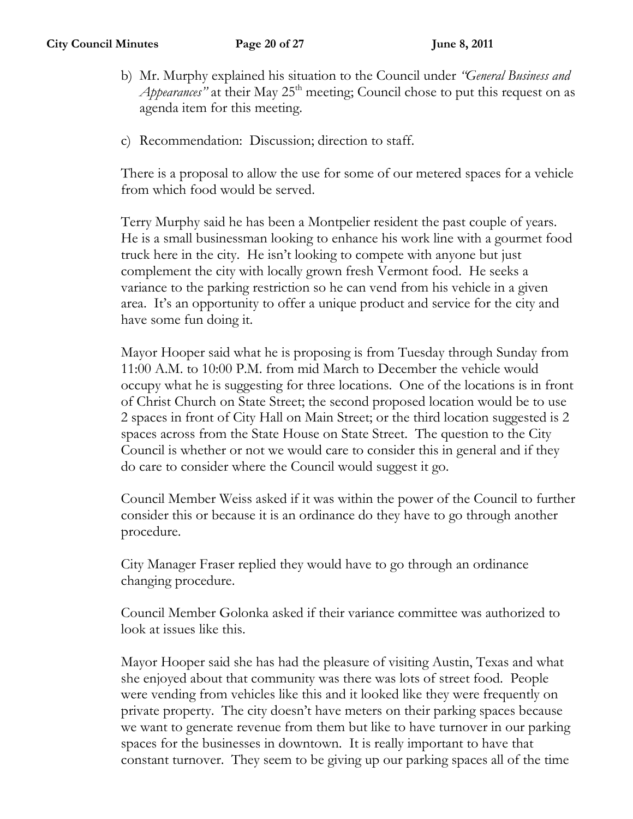- b) Mr. Murphy explained his situation to the Council under *"General Business and Appearances*" at their May  $25<sup>th</sup>$  meeting; Council chose to put this request on as agenda item for this meeting.
- c) Recommendation: Discussion; direction to staff.

There is a proposal to allow the use for some of our metered spaces for a vehicle from which food would be served.

Terry Murphy said he has been a Montpelier resident the past couple of years. He is a small businessman looking to enhance his work line with a gourmet food truck here in the city. He isn't looking to compete with anyone but just complement the city with locally grown fresh Vermont food. He seeks a variance to the parking restriction so he can vend from his vehicle in a given area. It's an opportunity to offer a unique product and service for the city and have some fun doing it.

Mayor Hooper said what he is proposing is from Tuesday through Sunday from 11:00 A.M. to 10:00 P.M. from mid March to December the vehicle would occupy what he is suggesting for three locations. One of the locations is in front of Christ Church on State Street; the second proposed location would be to use 2 spaces in front of City Hall on Main Street; or the third location suggested is 2 spaces across from the State House on State Street. The question to the City Council is whether or not we would care to consider this in general and if they do care to consider where the Council would suggest it go.

Council Member Weiss asked if it was within the power of the Council to further consider this or because it is an ordinance do they have to go through another procedure.

City Manager Fraser replied they would have to go through an ordinance changing procedure.

Council Member Golonka asked if their variance committee was authorized to look at issues like this.

Mayor Hooper said she has had the pleasure of visiting Austin, Texas and what she enjoyed about that community was there was lots of street food. People were vending from vehicles like this and it looked like they were frequently on private property. The city doesn't have meters on their parking spaces because we want to generate revenue from them but like to have turnover in our parking spaces for the businesses in downtown. It is really important to have that constant turnover. They seem to be giving up our parking spaces all of the time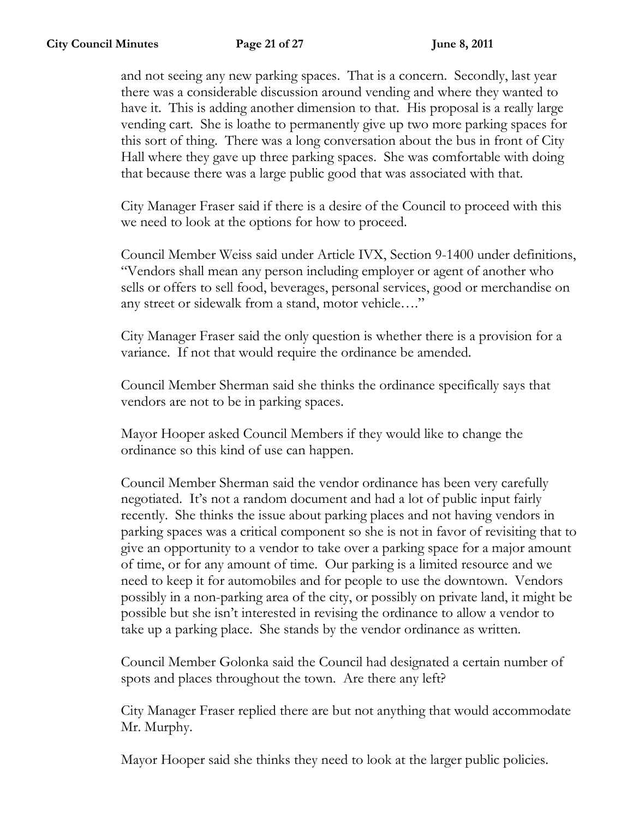and not seeing any new parking spaces. That is a concern. Secondly, last year there was a considerable discussion around vending and where they wanted to have it. This is adding another dimension to that. His proposal is a really large vending cart. She is loathe to permanently give up two more parking spaces for this sort of thing. There was a long conversation about the bus in front of City Hall where they gave up three parking spaces. She was comfortable with doing that because there was a large public good that was associated with that.

City Manager Fraser said if there is a desire of the Council to proceed with this we need to look at the options for how to proceed.

Council Member Weiss said under Article IVX, Section 9-1400 under definitions, "Vendors shall mean any person including employer or agent of another who sells or offers to sell food, beverages, personal services, good or merchandise on any street or sidewalk from a stand, motor vehicle…."

City Manager Fraser said the only question is whether there is a provision for a variance. If not that would require the ordinance be amended.

Council Member Sherman said she thinks the ordinance specifically says that vendors are not to be in parking spaces.

Mayor Hooper asked Council Members if they would like to change the ordinance so this kind of use can happen.

Council Member Sherman said the vendor ordinance has been very carefully negotiated. It's not a random document and had a lot of public input fairly recently. She thinks the issue about parking places and not having vendors in parking spaces was a critical component so she is not in favor of revisiting that to give an opportunity to a vendor to take over a parking space for a major amount of time, or for any amount of time. Our parking is a limited resource and we need to keep it for automobiles and for people to use the downtown. Vendors possibly in a non-parking area of the city, or possibly on private land, it might be possible but she isn't interested in revising the ordinance to allow a vendor to take up a parking place. She stands by the vendor ordinance as written.

Council Member Golonka said the Council had designated a certain number of spots and places throughout the town. Are there any left?

City Manager Fraser replied there are but not anything that would accommodate Mr. Murphy.

Mayor Hooper said she thinks they need to look at the larger public policies.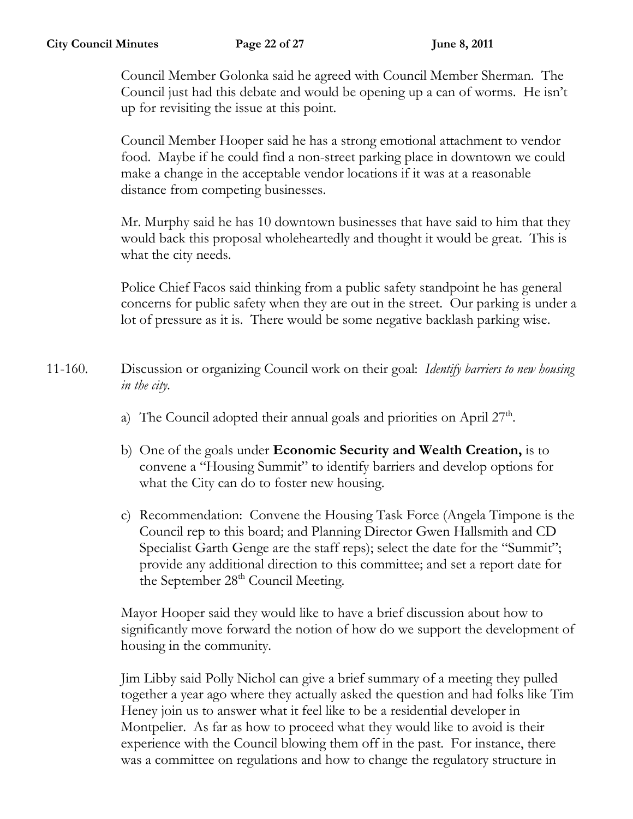Council Member Golonka said he agreed with Council Member Sherman. The Council just had this debate and would be opening up a can of worms. He isn't up for revisiting the issue at this point.

Council Member Hooper said he has a strong emotional attachment to vendor food. Maybe if he could find a non-street parking place in downtown we could make a change in the acceptable vendor locations if it was at a reasonable distance from competing businesses.

Mr. Murphy said he has 10 downtown businesses that have said to him that they would back this proposal wholeheartedly and thought it would be great. This is what the city needs.

Police Chief Facos said thinking from a public safety standpoint he has general concerns for public safety when they are out in the street. Our parking is under a lot of pressure as it is. There would be some negative backlash parking wise.

- 11-160. Discussion or organizing Council work on their goal: *Identify barriers to new housing in the city.*
	- a) The Council adopted their annual goals and priorities on April  $27<sup>th</sup>$ .
	- b) One of the goals under **Economic Security and Wealth Creation,** is to convene a "Housing Summit" to identify barriers and develop options for what the City can do to foster new housing.
	- c) Recommendation: Convene the Housing Task Force (Angela Timpone is the Council rep to this board; and Planning Director Gwen Hallsmith and CD Specialist Garth Genge are the staff reps); select the date for the "Summit"; provide any additional direction to this committee; and set a report date for the September  $28<sup>th</sup>$  Council Meeting.

Mayor Hooper said they would like to have a brief discussion about how to significantly move forward the notion of how do we support the development of housing in the community.

Jim Libby said Polly Nichol can give a brief summary of a meeting they pulled together a year ago where they actually asked the question and had folks like Tim Heney join us to answer what it feel like to be a residential developer in Montpelier. As far as how to proceed what they would like to avoid is their experience with the Council blowing them off in the past. For instance, there was a committee on regulations and how to change the regulatory structure in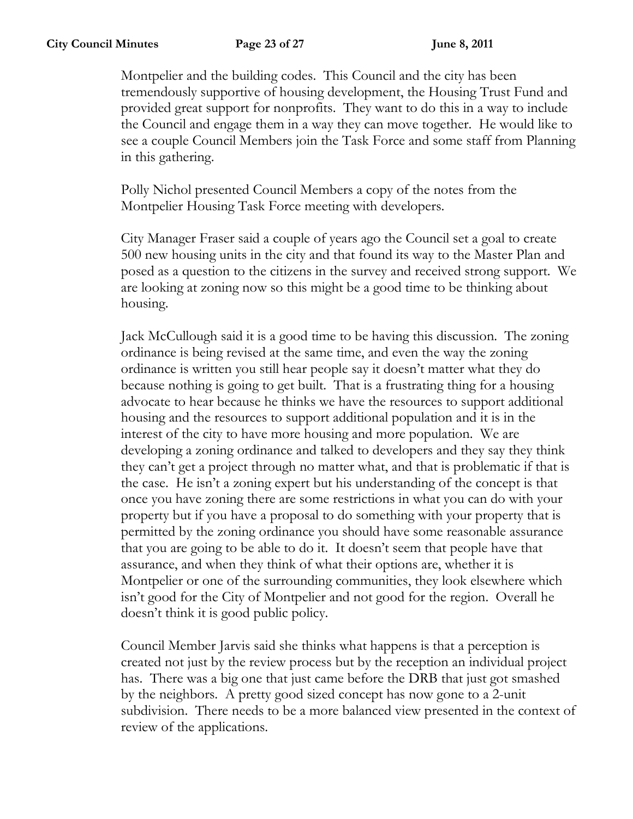Montpelier and the building codes. This Council and the city has been tremendously supportive of housing development, the Housing Trust Fund and provided great support for nonprofits. They want to do this in a way to include the Council and engage them in a way they can move together. He would like to see a couple Council Members join the Task Force and some staff from Planning in this gathering.

Polly Nichol presented Council Members a copy of the notes from the Montpelier Housing Task Force meeting with developers.

City Manager Fraser said a couple of years ago the Council set a goal to create 500 new housing units in the city and that found its way to the Master Plan and posed as a question to the citizens in the survey and received strong support. We are looking at zoning now so this might be a good time to be thinking about housing.

Jack McCullough said it is a good time to be having this discussion. The zoning ordinance is being revised at the same time, and even the way the zoning ordinance is written you still hear people say it doesn't matter what they do because nothing is going to get built. That is a frustrating thing for a housing advocate to hear because he thinks we have the resources to support additional housing and the resources to support additional population and it is in the interest of the city to have more housing and more population. We are developing a zoning ordinance and talked to developers and they say they think they can't get a project through no matter what, and that is problematic if that is the case. He isn't a zoning expert but his understanding of the concept is that once you have zoning there are some restrictions in what you can do with your property but if you have a proposal to do something with your property that is permitted by the zoning ordinance you should have some reasonable assurance that you are going to be able to do it. It doesn't seem that people have that assurance, and when they think of what their options are, whether it is Montpelier or one of the surrounding communities, they look elsewhere which isn't good for the City of Montpelier and not good for the region. Overall he doesn't think it is good public policy.

Council Member Jarvis said she thinks what happens is that a perception is created not just by the review process but by the reception an individual project has. There was a big one that just came before the DRB that just got smashed by the neighbors. A pretty good sized concept has now gone to a 2-unit subdivision. There needs to be a more balanced view presented in the context of review of the applications.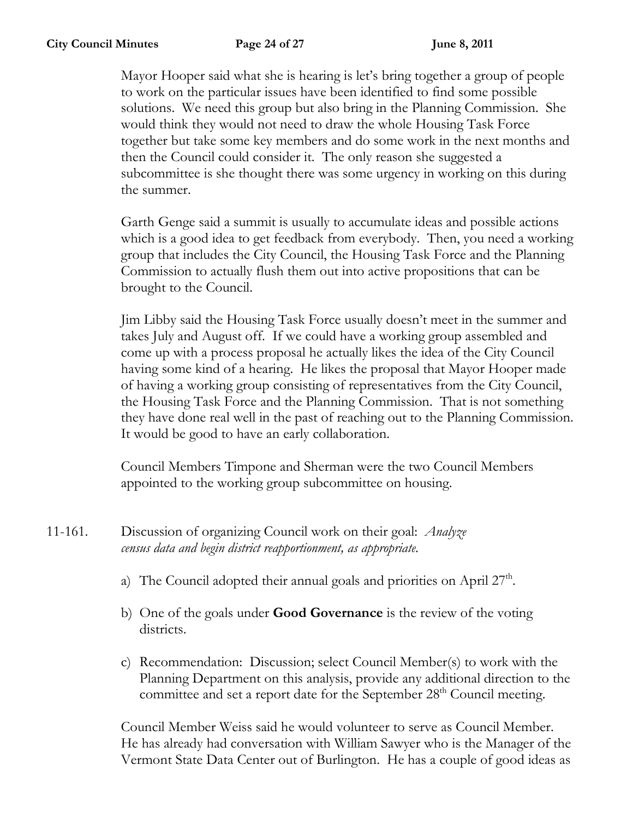Mayor Hooper said what she is hearing is let's bring together a group of people to work on the particular issues have been identified to find some possible solutions. We need this group but also bring in the Planning Commission. She would think they would not need to draw the whole Housing Task Force together but take some key members and do some work in the next months and then the Council could consider it. The only reason she suggested a subcommittee is she thought there was some urgency in working on this during the summer.

Garth Genge said a summit is usually to accumulate ideas and possible actions which is a good idea to get feedback from everybody. Then, you need a working group that includes the City Council, the Housing Task Force and the Planning Commission to actually flush them out into active propositions that can be brought to the Council.

Jim Libby said the Housing Task Force usually doesn't meet in the summer and takes July and August off. If we could have a working group assembled and come up with a process proposal he actually likes the idea of the City Council having some kind of a hearing. He likes the proposal that Mayor Hooper made of having a working group consisting of representatives from the City Council, the Housing Task Force and the Planning Commission. That is not something they have done real well in the past of reaching out to the Planning Commission. It would be good to have an early collaboration.

Council Members Timpone and Sherman were the two Council Members appointed to the working group subcommittee on housing.

- 11-161. Discussion of organizing Council work on their goal: *Analyze census data and begin district reapportionment, as appropriate.*
	- a) The Council adopted their annual goals and priorities on April  $27<sup>th</sup>$ .
	- b) One of the goals under **Good Governance** is the review of the voting districts.
	- c) Recommendation: Discussion; select Council Member(s) to work with the Planning Department on this analysis, provide any additional direction to the committee and set a report date for the September 28<sup>th</sup> Council meeting.

Council Member Weiss said he would volunteer to serve as Council Member. He has already had conversation with William Sawyer who is the Manager of the Vermont State Data Center out of Burlington. He has a couple of good ideas as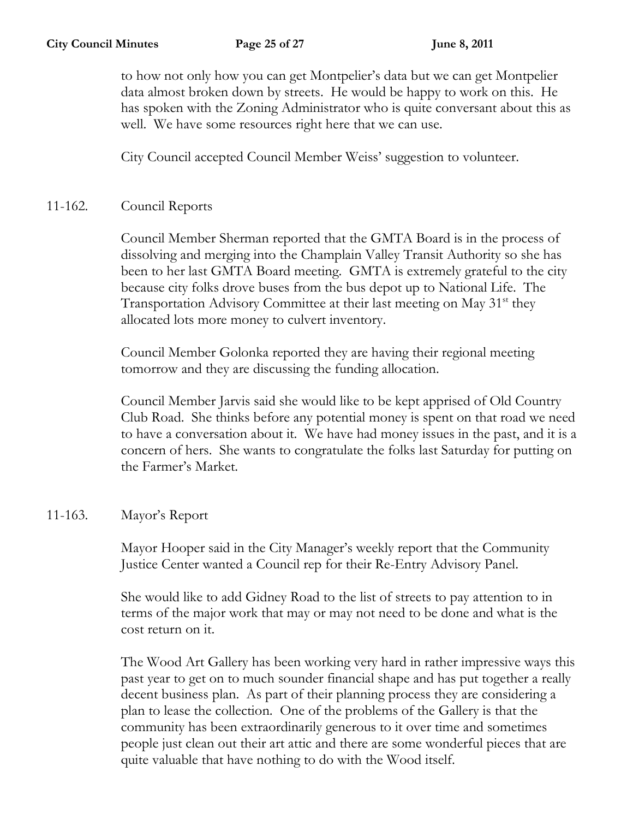to how not only how you can get Montpelier's data but we can get Montpelier data almost broken down by streets. He would be happy to work on this. He has spoken with the Zoning Administrator who is quite conversant about this as well. We have some resources right here that we can use.

City Council accepted Council Member Weiss' suggestion to volunteer.

## 11-162. Council Reports

Council Member Sherman reported that the GMTA Board is in the process of dissolving and merging into the Champlain Valley Transit Authority so she has been to her last GMTA Board meeting. GMTA is extremely grateful to the city because city folks drove buses from the bus depot up to National Life. The Transportation Advisory Committee at their last meeting on May 31<sup>st</sup> they allocated lots more money to culvert inventory.

Council Member Golonka reported they are having their regional meeting tomorrow and they are discussing the funding allocation.

Council Member Jarvis said she would like to be kept apprised of Old Country Club Road. She thinks before any potential money is spent on that road we need to have a conversation about it. We have had money issues in the past, and it is a concern of hers. She wants to congratulate the folks last Saturday for putting on the Farmer's Market.

## 11-163. Mayor's Report

Mayor Hooper said in the City Manager's weekly report that the Community Justice Center wanted a Council rep for their Re-Entry Advisory Panel.

She would like to add Gidney Road to the list of streets to pay attention to in terms of the major work that may or may not need to be done and what is the cost return on it.

The Wood Art Gallery has been working very hard in rather impressive ways this past year to get on to much sounder financial shape and has put together a really decent business plan. As part of their planning process they are considering a plan to lease the collection. One of the problems of the Gallery is that the community has been extraordinarily generous to it over time and sometimes people just clean out their art attic and there are some wonderful pieces that are quite valuable that have nothing to do with the Wood itself.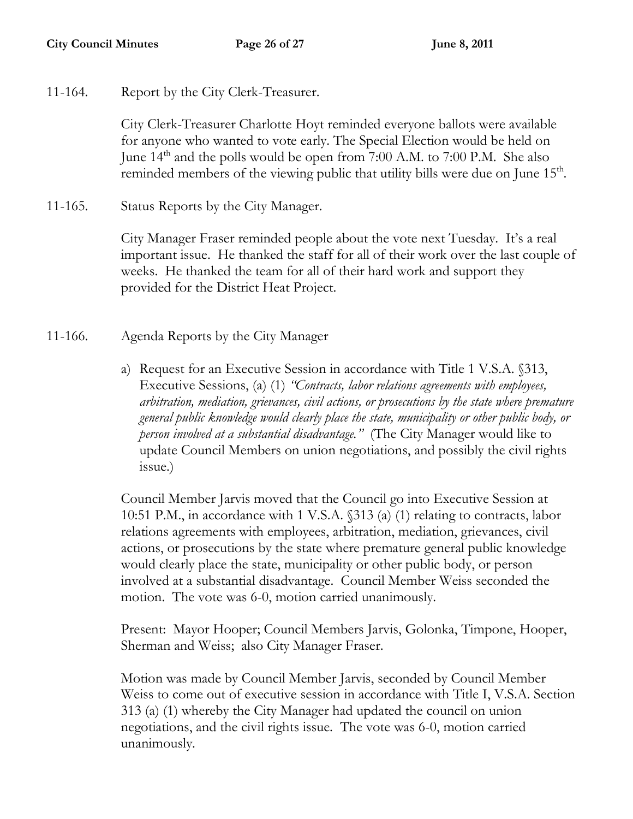11-164. Report by the City Clerk-Treasurer.

City Clerk-Treasurer Charlotte Hoyt reminded everyone ballots were available for anyone who wanted to vote early. The Special Election would be held on June  $14<sup>th</sup>$  and the polls would be open from 7:00 A.M. to 7:00 P.M. She also reminded members of the viewing public that utility bills were due on June 15<sup>th</sup>.

11-165. Status Reports by the City Manager.

City Manager Fraser reminded people about the vote next Tuesday. It's a real important issue. He thanked the staff for all of their work over the last couple of weeks. He thanked the team for all of their hard work and support they provided for the District Heat Project.

- 11-166. Agenda Reports by the City Manager
	- a) Request for an Executive Session in accordance with Title 1 V.S.A. §313, Executive Sessions, (a) (1) *"Contracts, labor relations agreements with employees, arbitration, mediation, grievances, civil actions, or prosecutions by the state where premature general public knowledge would clearly place the state, municipality or other public body, or person involved at a substantial disadvantage."* (The City Manager would like to update Council Members on union negotiations, and possibly the civil rights issue.)

Council Member Jarvis moved that the Council go into Executive Session at 10:51 P.M., in accordance with 1 V.S.A. §313 (a) (1) relating to contracts, labor relations agreements with employees, arbitration, mediation, grievances, civil actions, or prosecutions by the state where premature general public knowledge would clearly place the state, municipality or other public body, or person involved at a substantial disadvantage. Council Member Weiss seconded the motion. The vote was 6-0, motion carried unanimously.

Present: Mayor Hooper; Council Members Jarvis, Golonka, Timpone, Hooper, Sherman and Weiss; also City Manager Fraser.

Motion was made by Council Member Jarvis, seconded by Council Member Weiss to come out of executive session in accordance with Title I, V.S.A. Section 313 (a) (1) whereby the City Manager had updated the council on union negotiations, and the civil rights issue. The vote was 6-0, motion carried unanimously.